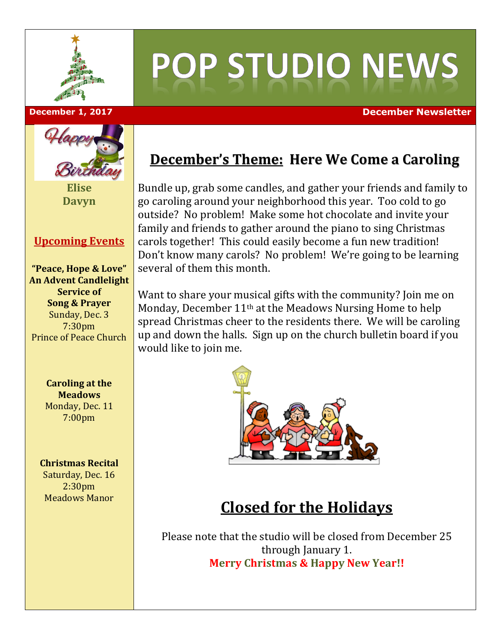

# POP STUDIO NEWS

#### **December 1, 2017 December Newsletter**



**Elise Davyn**

#### **Upcoming Events**

**"Peace, Hope & Love" An Advent Candlelight Service of Song & Prayer** Sunday, Dec. 3 7:30pm Prince of Peace Church

> **Caroling at the Meadows** Monday, Dec. 11 7:00pm

#### **Christmas Recital**

Saturday, Dec. 16 2:30pm Meadows Manor

## **December's Theme: Here We Come a Caroling**

Bundle up, grab some candles, and gather your friends and family to go caroling around your neighborhood this year. Too cold to go outside? No problem! Make some hot chocolate and invite your family and friends to gather around the piano to sing Christmas carols together! This could easily become a fun new tradition! Don't know many carols? No problem! We're going to be learning several of them this month.

Want to share your musical gifts with the community? Join me on Monday, December 11th at the Meadows Nursing Home to help spread Christmas cheer to the residents there. We will be caroling up and down the halls. Sign up on the church bulletin board if you would like to join me.



# **Closed for the Holidays**

Please note that the studio will be closed from December 25 through January 1. **Merry Christmas & Happy New Year!!**